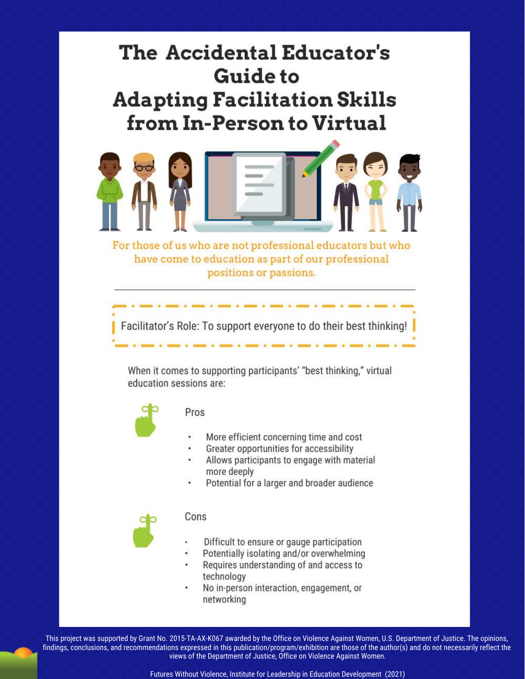# The Accidental Educator's **Guide to Adapting Facilitation Skills** from In-Person to Virtual



For those of us who are not professional educators but who have come to education as part of our professional positions or passions.

Facilitator's Role: To support everyone to do their best thinking!

When it comes to supporting participants' "best thinking," virtual education sessions are:



#### Pros

- More efficient concerning time and cost
- Greater opportunities for accessibility
- Allows participants to engage with material more deeply
- Potential for a larger and broader audience



#### Cons

- Difficult to ensure or gauge participation
- Potentially isolating and/or overwhelming Requires understanding of and access to technology
- No in-person interaction, engagement, or networking

This project was supported by Grant No. 2015-TA-AX-K067 awarded by the Office on Violence Against Women, U.S. Department of Justice. The opinions, findings, conclusions, and recommendations expressed in this publication/program/exhibition are those of the author(s) and do not necessarily reflect the views of the Department of Justice, Office on Violence Against Women.

Futures Without Violence, Institute for Leadership in Education Development (2021)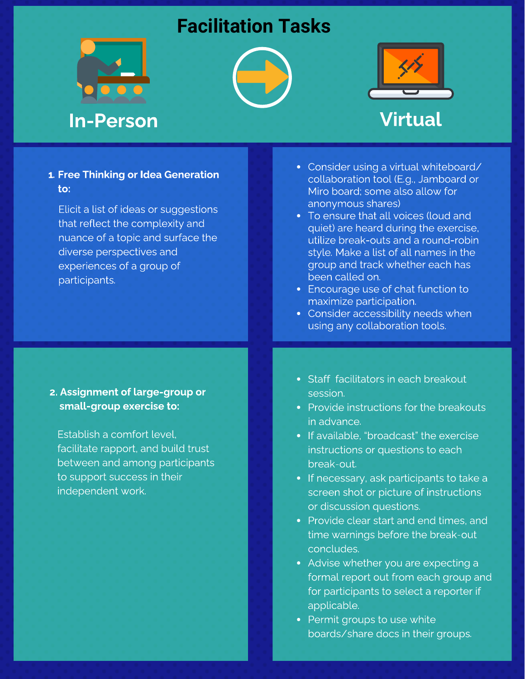### **Facilitation Tasks**







# In-Person Virtual

### 1. Free Thinking or Idea Generation to:

Elicit a list of ideas or suggestions<br>that reflect the complexity and nuance of a topic and surface the diverse perspectives and experiences of a group of participants.

### 2. Assignment of large-group or small-group exercise to:

Establish a comfort level,<br>facilitate rapport, and build trust between and among participants to support success in their independent work.

- Consider using a virtual whiteboard/<br>collaboration tool (E.g., Jamboard or Miro board; some also allow for anonymous shares)
- To ensure that all voices (loud and quiet) are heard during the exercise. utilize break-outs and a round-robin style. Make a list of all names in the group and track whether each has been called on.
- Encourage use of chat function to maximize participation.
- Consider accessibility needs when using any collaboration tools.
- Staff facilitators in each breakout<br>session.
- Provide instructions for the breakouts in advance.
- If available. "broadcast" the exercise instructions or questions to each break-out.
- If necessary, ask participants to take a screen shot or picture of instructions or discussion questions.
- Provide clear start and end times, and time warnings before the break-out concludes.
- Advise whether you are expecting a formal report out from each group and for participants to select a reporter if applicable.
- Permit groups to use white Permit groups to use white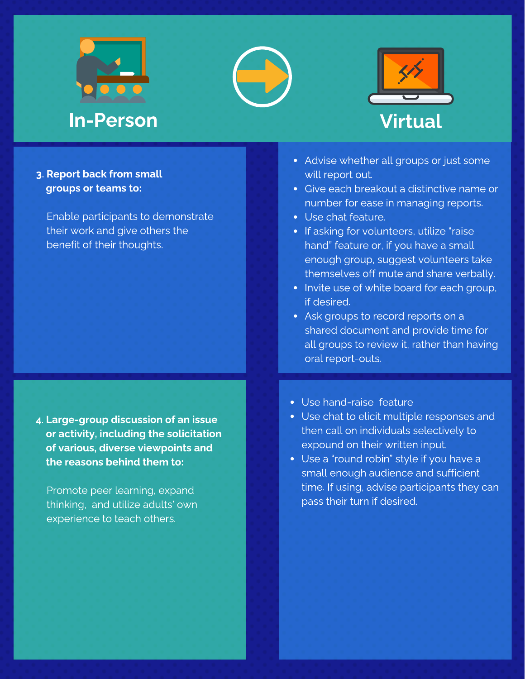





### 3. Report back from small groups or teams to:

 Enable participants to demonstrate their work and give others the benefit of their thoughts.

4. Large-group discussion of an issue or activity, including the solicitation of various, diverse viewpoints and the reasons behind them to:

 Promote peer learning, expand thinking, and utilize adults' own experience to teach others.

- Advise whether all groups or just some will report out.
- Give each breakout a distinctive name or number for ease in managing reports.
- Use chat feature.
- If asking for volunteers, utilize "raise hand" feature or, if you have a small enough group, suggest volunteers take themselves off mute and share verbally.
- Invite use of white board for each group, if desired.
- Ask groups to record reports on a shared document and provide time for all groups to review it, rather than having oral report-outs.
- Use hand-raise feature
- Use chat to elicit multiple responses and then call on individuals selectively to expound on their written input.
- Use a "round robin" style if you have a small enough audience and sufficient time. If using, advise participants they can pass their turn if desired.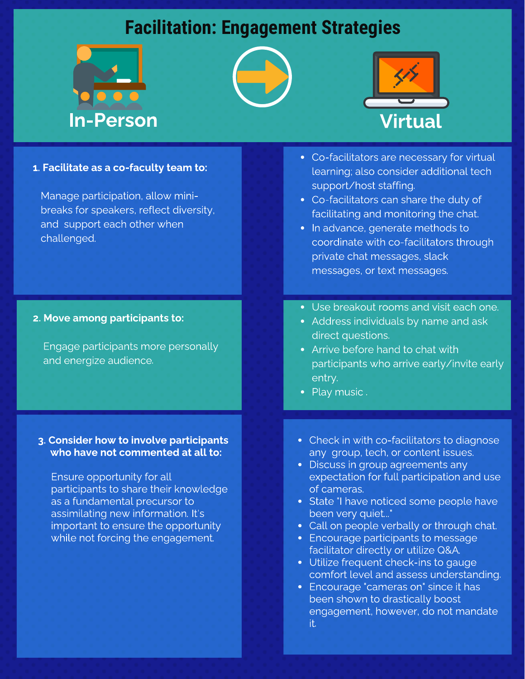## **Facilitation: Engagement Strategies**







#### 1. Facilitate as a co-faculty team to:

Manage participation, allow mini-<br>breaks for speakers, reflect diversity, and support each other when and support each other when

#### 2. Move among participants to:

Engage participants more personally

### 3. Consider how to involve participants who have not commented at all to:

Ensure opportunity for all<br>participants to share their knowledge as a fundamental precursor to assimilating new information. It's<br>
important to ensure the opportun important to ensure the opportunity<br>while not forcing the engagement. while not forcing the engagement.

- Co-facilitators are necessary for virtual support/host staffing.
- Co-facilitators can share the duty of facilitating and monitoring the chat.
- In advance, generate methods to coordinate with co-facilitators through private chat messages, slack private chat messages, slack
- Use breakout rooms and visit each one.<br>• Address individuals by name and ask
- direct questions.
- Arrive before hand to chat with participants who arrive early/invite early participants who arrive early/invite early
- entry.
- Check in with co-facilitators to diagnose<br>any group, tech, or content issues.
- Discuss in group agreements any expectation for full participation and use of cameras.
- State "I have noticed some people have been very quiet..."
- Call on people verbally or through chat.
- Encourage participants to message facilitator directly or utilize Q&A.
- Utilize frequent check-ins to gauge comfort level and assess understanding.
- Encourage "cameras on" since it has been shown to drastically boost becoment to drastically boost engagement, however, do not mandate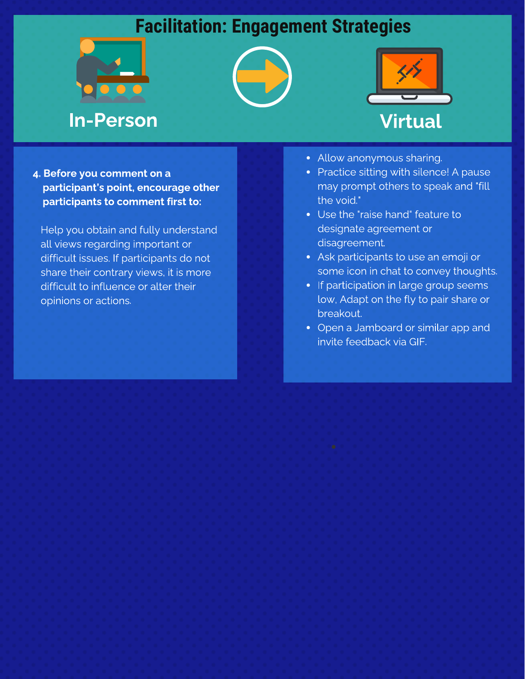## **Facilitation: Engagement Strategies**







4. Before you comment on a participant's point, encourage other participants to comment first to:

 Help you obtain and fully understand all views regarding important or difficult issues. If participants do not share their contrary views, it is more difficult to influence or alter their opinions or actions.

- Allow anonymous sharing.
- Practice sitting with silence! A pause may prompt others to speak and "fill the void."
- Use the "raise hand" feature to designate agreement or disagreement.
- Ask participants to use an emoji or some icon in chat to convey thoughts.
- If participation in large group seems low, Adapt on the fly to pair share or breakout.
- Open a Jamboard or similar app and invite feedback via GIF.